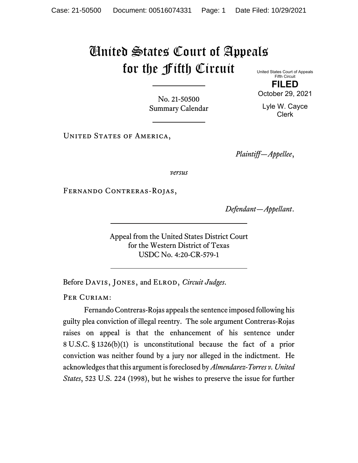## United States Court of Appeals for the Fifth Circuit

United States Court of Appeals Fifth Circuit **FILED**

October 29, 2021

Lyle W. Cayce Clerk

No. 21-50500 Summary Calendar

UNITED STATES OF AMERICA,

*Plaintiff—Appellee*,

*versus*

Fernando Contreras-Rojas,

*Defendant—Appellant*.

Appeal from the United States District Court for the Western District of Texas USDC No. 4:20-CR-579-1

Before Davis, Jones, and Elrod, *Circuit Judges*.

PER CURIAM:

Fernando Contreras-Rojas appeals the sentence imposed following his guilty plea conviction of illegal reentry. The sole argument Contreras-Rojas raises on appeal is that the enhancement of his sentence under 8 U.S.C. § 1326(b)(1) is unconstitutional because the fact of a prior conviction was neither found by a jury nor alleged in the indictment. He acknowledges that this argument is foreclosed by *Almendarez-Torres v. United States*, 523 U.S. 224 (1998), but he wishes to preserve the issue for further